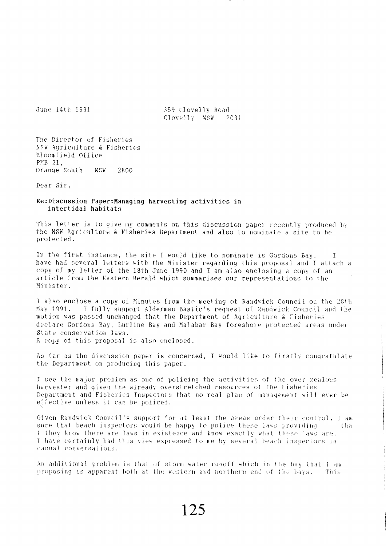June 14th 1991

359 Clovelly Road Clovelly NSW 2031

The Director of Fisheries NSW Agriculture & Fisheries Bloomfield Office PMB 21. Orange South NSW 2800

Dear Sir,

## Re:Discussion Paper:Managing harvesting activities in intertidal habitats

This letter is to give my comments on this discussion paper recently produced by the NSW Agriculture & Fisheries Department and also to nominate a site to be protected.

In the first instance, the site I would like to nominate is Gordons Bay.  $\top$ have had several letters with the Minister regarding this proposal and I attach a copy of my letter of the 18th June 1990 and I am also enclosing a copy of an article from the Eastern Herald which summarises our representations to the Minister.

I also enclose a copy of Minutes from the meeting of Randwick Council on the 28th May 1991. I fully support Alderman Bastic's request of Randwick Council and the motion was passed unchanged that the Department of Agriculture & Fisheries declare Gordons Bay, Lurline Bay and Malabar Bay foreshore protected areas under State conservation laws. A copy of this proposal is also enclosed.

As far as the discussion paper is concerned, I would like to firstly congratulate the Department on producing this paper.

I see the major problem as one of policing the activities of the over zealous harvester and given the already overstretched resources of the Fisheries Department and Fisheries Inspectors that no real plan of management will ever be effective unless it can be policed.

Given Randwick Council's support for at least the areas under their control, I am sure that beach inspectors would be happy to police these laws providing t lia t they know there are laws in existence and know exactly what these laws are. I have certainly had this view expressed to me by several beach inspectors in casual conversations.

An additional problem is that of storm water runoff which in the bay that I am proposing is apparent both at the western and northern end of the bays. This